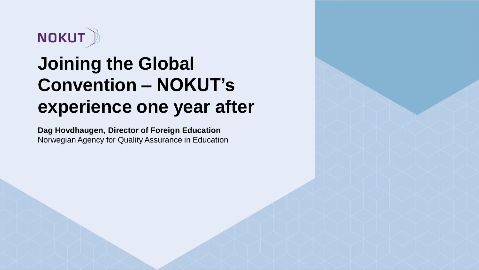

## **Joining the Global Convention – NOKUT's experience one year after**

**Dag Hovdhaugen, Director of Foreign Education** Norwegian Agency for Quality Assurance in Education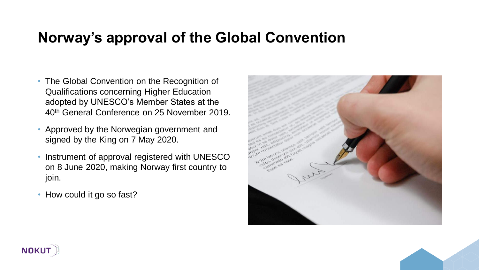#### **Norway's approval of the Global Convention**

- The Global Convention on the Recognition of Qualifications concerning Higher Education adopted by UNESCO's Member States at the 40th General Conference on 25 November 2019.
- Approved by the Norwegian government and signed by the King on 7 May 2020.
- Instrument of approval registered with UNESCO on 8 June 2020, making Norway first country to join.
- How could it go so fast?





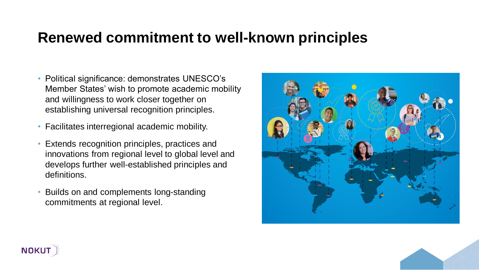#### **Renewed commitment to well-known principles**

- Political significance: demonstrates UNESCO's Member States' wish to promote academic mobility and willingness to work closer together on establishing universal recognition principles.
- Facilitates interregional academic mobility.
- Extends recognition principles, practices and innovations from regional level to global level and develops further well-established principles and definitions.
- Builds on and complements long-standing commitments at regional level.





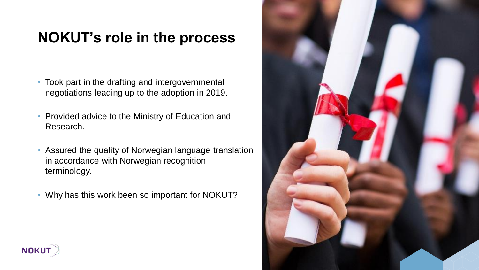#### **NOKUT's role in the process**

- Took part in the drafting and intergovernmental negotiations leading up to the adoption in 2019.
- Provided advice to the Ministry of Education and Research.
- Assured the quality of Norwegian language translation in accordance with Norwegian recognition terminology.
- Why has this work been so important for NOKUT?



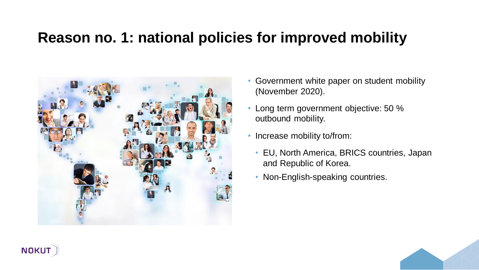#### **Reason no. 1: national policies for improved mobility**



- Government white paper on student mobility (November 2020).
- Long term government objective: 50 % outbound mobility.
- Increase mobility to/from:
	- EU, North America, BRICS countries, Japan and Republic of Korea.
	- Non-English-speaking countries.

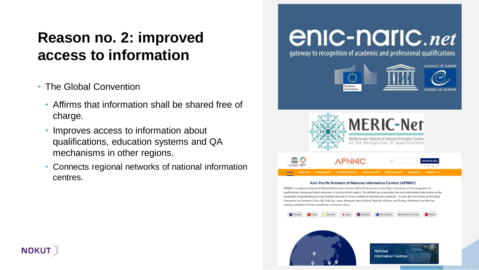#### **Reason no. 2: improved access to information**

- The Global Convention
	- Affirms that information shall be shared free of charge.
	- Improves access to information about qualifications, education systems and QA mechanisms in other regions.
	- Connects regional networks of national information centres.

# enic-naric.net

gateway to recognition of academic and professional qualifications









#### Asia-Pacific Network of National Information Centres (APNNIC)

APNNIC is a regional network of National Information Centres (NICs) of the parties to the Tokyo Convention on the recognition of qualifications concerning higher education in the Asia-Pacific region. The APNNIC portal provides free and authoritative information on the recognition of qualifications to help facilitate physical or virtual mobility of students and academics. To date, the nine Parties to the Tokyo Convention are Australia, China, Fiji, Holy See, Japan, Mongolia, New Zealand, Republic of Korea, and Turkey. Additional countries are nearing completion of their procedures to become a Party





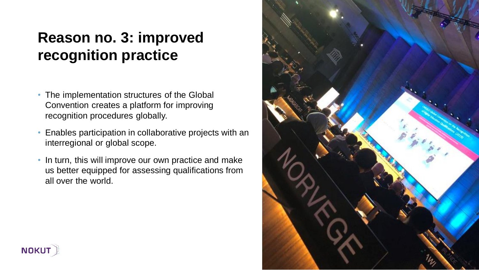### **Reason no. 3: improved recognition practice**

- The implementation structures of the Global Convention creates a platform for improving recognition procedures globally.
- Enables participation in collaborative projects with an interregional or global scope.
- In turn, this will improve our own practice and make us better equipped for assessing qualifications from all over the world.